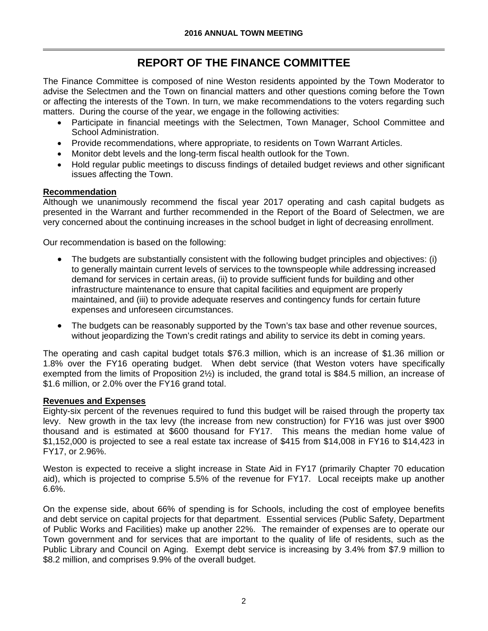# **REPORT OF THE FINANCE COMMITTEE**

The Finance Committee is composed of nine Weston residents appointed by the Town Moderator to advise the Selectmen and the Town on financial matters and other questions coming before the Town or affecting the interests of the Town. In turn, we make recommendations to the voters regarding such matters. During the course of the year, we engage in the following activities:

- Participate in financial meetings with the Selectmen, Town Manager, School Committee and School Administration.
- Provide recommendations, where appropriate, to residents on Town Warrant Articles.
- Monitor debt levels and the long-term fiscal health outlook for the Town.
- Hold regular public meetings to discuss findings of detailed budget reviews and other significant issues affecting the Town.

## **Recommendation**

Although we unanimously recommend the fiscal year 2017 operating and cash capital budgets as presented in the Warrant and further recommended in the Report of the Board of Selectmen, we are very concerned about the continuing increases in the school budget in light of decreasing enrollment.

Our recommendation is based on the following:

- The budgets are substantially consistent with the following budget principles and objectives: (i) to generally maintain current levels of services to the townspeople while addressing increased demand for services in certain areas, (ii) to provide sufficient funds for building and other infrastructure maintenance to ensure that capital facilities and equipment are properly maintained, and (iii) to provide adequate reserves and contingency funds for certain future expenses and unforeseen circumstances.
- The budgets can be reasonably supported by the Town's tax base and other revenue sources, without jeopardizing the Town's credit ratings and ability to service its debt in coming years.

The operating and cash capital budget totals \$76.3 million, which is an increase of \$1.36 million or 1.8% over the FY16 operating budget. When debt service (that Weston voters have specifically exempted from the limits of Proposition 2½) is included, the grand total is \$84.5 million, an increase of \$1.6 million, or 2.0% over the FY16 grand total.

## **Revenues and Expenses**

Eighty-six percent of the revenues required to fund this budget will be raised through the property tax levy. New growth in the tax levy (the increase from new construction) for FY16 was just over \$900 thousand and is estimated at \$600 thousand for FY17. This means the median home value of \$1,152,000 is projected to see a real estate tax increase of \$415 from \$14,008 in FY16 to \$14,423 in FY17, or 2.96%.

Weston is expected to receive a slight increase in State Aid in FY17 (primarily Chapter 70 education aid), which is projected to comprise 5.5% of the revenue for FY17. Local receipts make up another 6.6%.

On the expense side, about 66% of spending is for Schools, including the cost of employee benefits and debt service on capital projects for that department. Essential services (Public Safety, Department of Public Works and Facilities) make up another 22%. The remainder of expenses are to operate our Town government and for services that are important to the quality of life of residents, such as the Public Library and Council on Aging. Exempt debt service is increasing by 3.4% from \$7.9 million to \$8.2 million, and comprises 9.9% of the overall budget.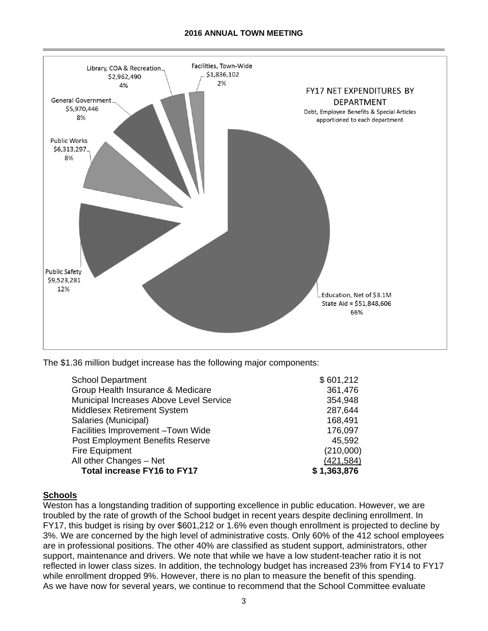#### **2016 ANNUAL TOWN MEETING**



The \$1.36 million budget increase has the following major components:

| <b>School Department</b>                | \$601,212   |
|-----------------------------------------|-------------|
| Group Health Insurance & Medicare       | 361,476     |
| Municipal Increases Above Level Service | 354,948     |
| <b>Middlesex Retirement System</b>      | 287,644     |
| Salaries (Municipal)                    | 168,491     |
| Facilities Improvement-Town Wide        | 176,097     |
| <b>Post Employment Benefits Reserve</b> | 45,592      |
| Fire Equipment                          | (210,000)   |
| All other Changes - Net                 | (421, 584)  |
| <b>Total increase FY16 to FY17</b>      | \$1,363,876 |

#### **Schools**

Weston has a longstanding tradition of supporting excellence in public education. However, we are troubled by the rate of growth of the School budget in recent years despite declining enrollment. In FY17, this budget is rising by over \$601,212 or 1.6% even though enrollment is projected to decline by 3%. We are concerned by the high level of administrative costs. Only 60% of the 412 school employees are in professional positions. The other 40% are classified as student support, administrators, other support, maintenance and drivers. We note that while we have a low student-teacher ratio it is not reflected in lower class sizes. In addition, the technology budget has increased 23% from FY14 to FY17 while enrollment dropped 9%. However, there is no plan to measure the benefit of this spending. As we have now for several years, we continue to recommend that the School Committee evaluate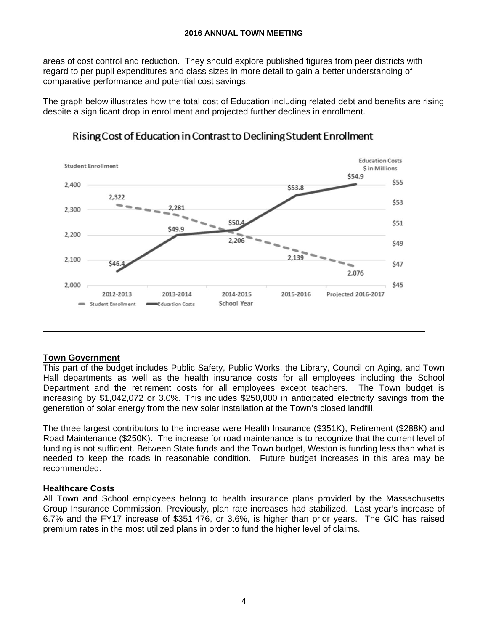areas of cost control and reduction. They should explore published figures from peer districts with regard to per pupil expenditures and class sizes in more detail to gain a better understanding of comparative performance and potential cost savings.

The graph below illustrates how the total cost of Education including related debt and benefits are rising despite a significant drop in enrollment and projected further declines in enrollment.



## Rising Cost of Education in Contrast to Declining Student Enrollment

## **Town Government**

This part of the budget includes Public Safety, Public Works, the Library, Council on Aging, and Town Hall departments as well as the health insurance costs for all employees including the School Department and the retirement costs for all employees except teachers. The Town budget is increasing by \$1,042,072 or 3.0%. This includes \$250,000 in anticipated electricity savings from the generation of solar energy from the new solar installation at the Town's closed landfill.

The three largest contributors to the increase were Health Insurance (\$351K), Retirement (\$288K) and Road Maintenance (\$250K). The increase for road maintenance is to recognize that the current level of funding is not sufficient. Between State funds and the Town budget, Weston is funding less than what is needed to keep the roads in reasonable condition. Future budget increases in this area may be recommended.

## **Healthcare Costs**

All Town and School employees belong to health insurance plans provided by the Massachusetts Group Insurance Commission. Previously, plan rate increases had stabilized. Last year's increase of 6.7% and the FY17 increase of \$351,476, or 3.6%, is higher than prior years. The GIC has raised premium rates in the most utilized plans in order to fund the higher level of claims.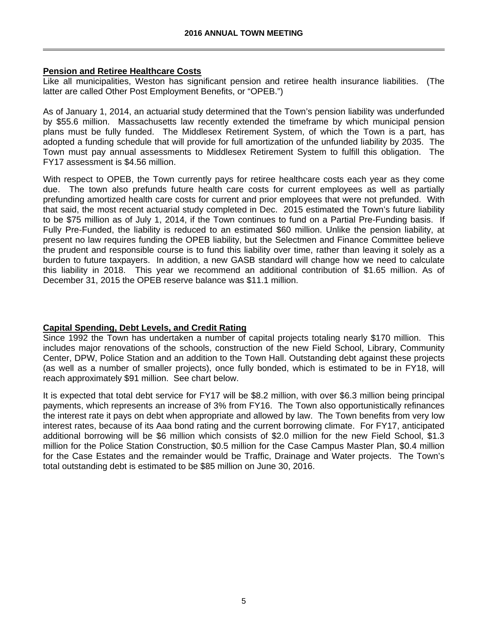## **Pension and Retiree Healthcare Costs**

Like all municipalities, Weston has significant pension and retiree health insurance liabilities. (The latter are called Other Post Employment Benefits, or "OPEB.")

As of January 1, 2014, an actuarial study determined that the Town's pension liability was underfunded by \$55.6 million. Massachusetts law recently extended the timeframe by which municipal pension plans must be fully funded. The Middlesex Retirement System, of which the Town is a part, has adopted a funding schedule that will provide for full amortization of the unfunded liability by 2035. The Town must pay annual assessments to Middlesex Retirement System to fulfill this obligation. The FY17 assessment is \$4.56 million.

With respect to OPEB, the Town currently pays for retiree healthcare costs each year as they come due. The town also prefunds future health care costs for current employees as well as partially prefunding amortized health care costs for current and prior employees that were not prefunded. With that said, the most recent actuarial study completed in Dec. 2015 estimated the Town's future liability to be \$75 million as of July 1, 2014, if the Town continues to fund on a Partial Pre-Funding basis. If Fully Pre-Funded, the liability is reduced to an estimated \$60 million. Unlike the pension liability, at present no law requires funding the OPEB liability, but the Selectmen and Finance Committee believe the prudent and responsible course is to fund this liability over time, rather than leaving it solely as a burden to future taxpayers. In addition, a new GASB standard will change how we need to calculate this liability in 2018. This year we recommend an additional contribution of \$1.65 million. As of December 31, 2015 the OPEB reserve balance was \$11.1 million.

## **Capital Spending, Debt Levels, and Credit Rating**

Since 1992 the Town has undertaken a number of capital projects totaling nearly \$170 million. This includes major renovations of the schools, construction of the new Field School, Library, Community Center, DPW, Police Station and an addition to the Town Hall. Outstanding debt against these projects (as well as a number of smaller projects), once fully bonded, which is estimated to be in FY18, will reach approximately \$91 million. See chart below.

It is expected that total debt service for FY17 will be \$8.2 million, with over \$6.3 million being principal payments, which represents an increase of 3% from FY16. The Town also opportunistically refinances the interest rate it pays on debt when appropriate and allowed by law. The Town benefits from very low interest rates, because of its Aaa bond rating and the current borrowing climate. For FY17, anticipated additional borrowing will be \$6 million which consists of \$2.0 million for the new Field School, \$1.3 million for the Police Station Construction, \$0.5 million for the Case Campus Master Plan, \$0.4 million for the Case Estates and the remainder would be Traffic, Drainage and Water projects. The Town's total outstanding debt is estimated to be \$85 million on June 30, 2016.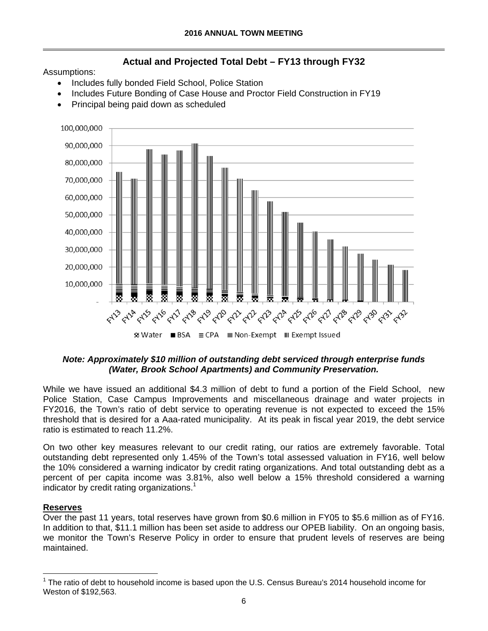# **Actual and Projected Total Debt – FY13 through FY32**

Assumptions:

- Includes fully bonded Field School, Police Station
- Includes Future Bonding of Case House and Proctor Field Construction in FY19
- Principal being paid down as scheduled



## *Note: Approximately \$10 million of outstanding debt serviced through enterprise funds (Water, Brook School Apartments) and Community Preservation.*

While we have issued an additional \$4.3 million of debt to fund a portion of the Field School, new Police Station, Case Campus Improvements and miscellaneous drainage and water projects in FY2016, the Town's ratio of debt service to operating revenue is not expected to exceed the 15% threshold that is desired for a Aaa-rated municipality. At its peak in fiscal year 2019, the debt service ratio is estimated to reach 11.2%.

On two other key measures relevant to our credit rating, our ratios are extremely favorable. Total outstanding debt represented only 1.45% of the Town's total assessed valuation in FY16, well below the 10% considered a warning indicator by credit rating organizations. And total outstanding debt as a percent of per capita income was 3.81%, also well below a 15% threshold considered a warning indicator by credit rating organizations.<sup>1</sup>

## **Reserves**

 $\overline{a}$ 

Over the past 11 years, total reserves have grown from \$0.6 million in FY05 to \$5.6 million as of FY16. In addition to that, \$11.1 million has been set aside to address our OPEB liability. On an ongoing basis, we monitor the Town's Reserve Policy in order to ensure that prudent levels of reserves are being maintained.

 $1$  The ratio of debt to household income is based upon the U.S. Census Bureau's 2014 household income for Weston of \$192,563.